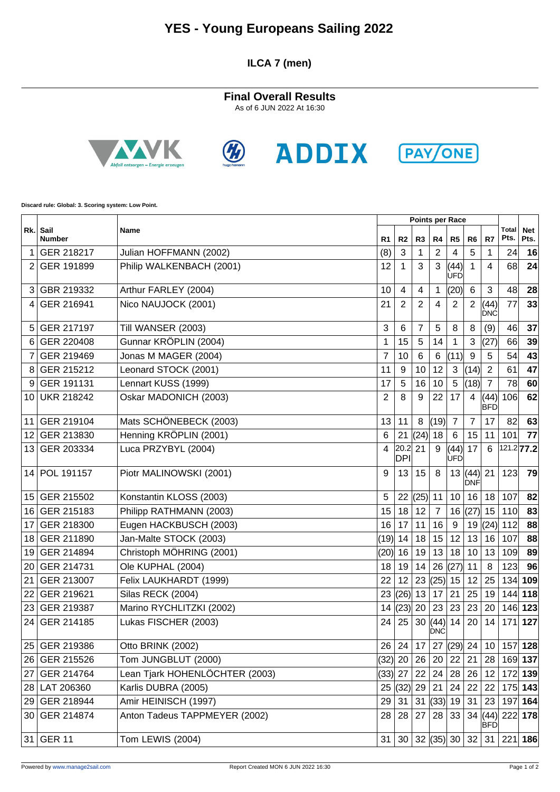## **YES - Young Europeans Sailing 2022**

### **ILCA 7 (men)**

**Final Overall Results** As of 6 JUN 2022 At 16:30









**Discard rule: Global: 3. Scoring system: Low Point.**

|     | Sail<br><b>Name</b><br><b>Number</b> |                                | Points per Race |                         |                |                     |                    |                    |                         |                    |           |
|-----|--------------------------------------|--------------------------------|-----------------|-------------------------|----------------|---------------------|--------------------|--------------------|-------------------------|--------------------|-----------|
| Rk. |                                      | R <sub>1</sub>                 | R <sub>2</sub>  | R3                      | R4             | R <sub>5</sub>      | R <sub>6</sub>     | R7                 | <b>Total</b><br>Pts.    | <b>Net</b><br>Pts. |           |
| 1   | GER 218217                           | Julian HOFFMANN (2002)         | (8)             | 3                       | 1              | $\overline{2}$      | 4                  | 5                  | $\mathbf 1$             | 24                 | 16        |
| 2   | GER 191899                           | Philip WALKENBACH (2001)       | 12              | $\mathbf{1}$            | 3              | 3                   | (44)<br><b>UFD</b> | 1                  | $\overline{4}$          | 68                 | 24        |
| 3   | GBR 219332                           | Arthur FARLEY (2004)           | 10              | $\overline{\mathbf{4}}$ | $\overline{4}$ | 1                   | (20)               | 6                  | $\mathbf{3}$            | 48                 | 28        |
| 4   | GER 216941                           | Nico NAUJOCK (2001)            | 21              | $\overline{2}$          | 2              | 4                   | $\overline{2}$     | 2                  | (44)<br>DNC             | 77                 | 33        |
| 5   | GER 217197                           | Till WANSER (2003)             | 3               | 6                       | $\overline{7}$ | 5                   | 8                  | 8                  | (9)                     | 46                 | 37        |
| 6   | GER 220408                           | Gunnar KRÖPLIN (2004)          | 1               | 15                      | 5              | 14                  | 1                  | 3                  | (27)                    | 66                 | 39        |
| 7   | GER 219469                           | Jonas M MAGER (2004)           | 7               | 10                      | 6              | 6                   | (11)               | 9                  | $\overline{5}$          | 54                 | 43        |
| 8   | GER 215212                           | Leonard STOCK (2001)           | 11              | 9                       | 10             | 12                  | $\mathbf{3}$       | (14)               | $\overline{2}$          | 61                 | 47        |
| 9   | GER 191131                           | Lennart KUSS (1999)            | 17              | 5                       | 16             | 10                  | 5                  | (18)               | $\overline{7}$          | 78                 | 60        |
| 10  | <b>UKR 218242</b>                    | Oskar MADONICH (2003)          | 2               | 8                       | 9              | 22                  | 17                 | 4                  | (44)<br><b>BFD</b>      | 106                | 62        |
| 11  | GER 219104                           | Mats SCHÖNEBECK (2003)         | 13              | 11                      | 8              | (19)                | $\overline{7}$     | $\overline{7}$     | 17                      | 82                 | 63        |
| 12  | GER 213830                           | Henning KRÖPLIN (2001)         | 6               | 21                      | (24)           | 18                  | 6                  | 15                 | 11                      | 101                | 77        |
| 13  | GER 203334                           | Luca PRZYBYL (2004)            | 4               | 20.2 <br><b>DPI</b>     | 21             | 9                   | (44)<br><b>UFD</b> | 17                 | 6                       | 121.277.2          |           |
| 14  | POL 191157                           | Piotr MALINOWSKI (2001)        | 9               | 13                      | 15             | 8                   | 13                 | (44)<br><b>DNF</b> | 21                      | 123                | 79        |
| 15  | GER 215502                           | Konstantin KLOSS (2003)        | 5               | 22                      | $(25)$ 11      |                     | 10                 | 16                 | 18                      | 107                | 82        |
| 16  | GER 215183                           | Philipp RATHMANN (2003)        | 15              | 18                      | 12             | $\overline{7}$      | 16                 | (27)               | 15                      | 110                | 83        |
| 17  | GER 218300                           | Eugen HACKBUSCH (2003)         | 16              | 17                      | 11             | 16                  | $9\,$              | 19                 | (24)                    | 112                | 88        |
| 18  | GER 211890                           | Jan-Malte STOCK (2003)         | (19)            | 14                      | 18             | 15                  | 12                 | 13                 | 16                      | 107                | 88        |
| 19  | GER 214894                           | Christoph MÖHRING (2001)       | (20)            | 16                      | 19             | 13                  | 18                 | 10                 | 13                      | 109                | 89        |
| 20  | GER 214731                           | Ole KUPHAL (2004)              | 18              | 19                      | 14             | 26                  | (27)               | 11                 | 8                       | 123                | 96        |
| 21  | GER 213007                           | Felix LAUKHARDT (1999)         | 22              | 12                      | 23             | (25)                | 15                 | 12                 | 25                      | 134                | 109       |
| 22  | GER 219621                           | Silas RECK (2004)              | 23              | $(26)$ 13               |                | 17                  | 21                 | 25                 | 19                      |                    | 144 118   |
| 23  | GER 219387                           | Marino RYCHLITZKI (2002)       | 14              | (23)                    | 20             | 23                  | 23                 | 23                 | 20                      | 146                | 123       |
| 24  | GER 214185                           | Lukas FISCHER (2003)           | 24              | 25                      | 30             | (44) <br><b>DNC</b> | 14                 | 20                 | 14                      | 171                | 127       |
| 25  | GER 219386                           | Otto BRINK (2002)              | 26              | 24                      | 17             | 27                  | $(29)$ 24          |                    | 10                      |                    | 157 128   |
|     | 26 GER 215526                        | Tom JUNGBLUT (2000)            | $(32)$ 20       |                         | 26 20          |                     | 22                 | 21                 | 28                      |                    | 169 137   |
| 27  | <b>GER 214764</b>                    | Lean Tjark HOHENLÖCHTER (2003) | (33)  27        |                         | 22             | 24                  | 28                 | 26                 | 12                      |                    | 172 139   |
|     | 28 LAT 206360                        | Karlis DUBRA (2005)            |                 | 25  (32)                | 29             | 21                  | 24                 | 22                 | 22                      |                    | 175 143   |
|     | 29 GER 218944                        | Amir HEINISCH (1997)           | 29              | 31                      |                | 31   (33)           | 19                 | 31                 | 23                      |                    | 197 164   |
|     | 30 GER 214874                        | Anton Tadeus TAPPMEYER (2002)  | 28              | 28                      | 27             | 28                  | 33                 |                    | 34   (44)<br><b>BFD</b> |                    | $222$ 178 |
|     | 31 GER 11                            | Tom LEWIS (2004)               | 31              | 30                      |                | 32  (35)  30        |                    | 32                 | 31                      |                    | $221$ 186 |